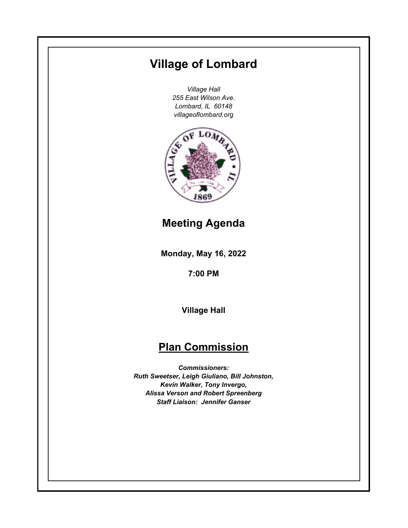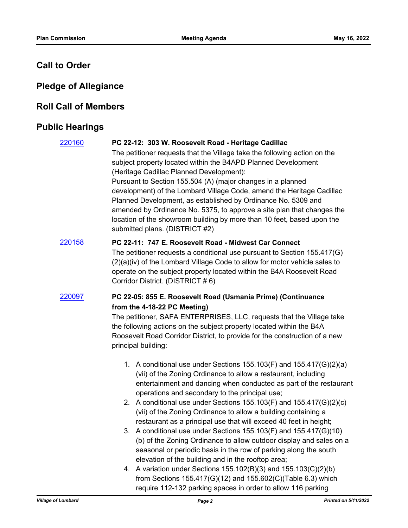# **Call to Order**

# **Pledge of Allegiance**

## **Roll Call of Members**

# **Public Hearings**

| 220160 | PC 22-12: 303 W. Roosevelt Road - Heritage Cadillac<br>The petitioner requests that the Village take the following action on the<br>subject property located within the B4APD Planned Development<br>(Heritage Cadillac Planned Development):<br>Pursuant to Section 155.504 (A) (major changes in a planned<br>development) of the Lombard Village Code, amend the Heritage Cadillac<br>Planned Development, as established by Ordinance No. 5309 and<br>amended by Ordinance No. 5375, to approve a site plan that changes the<br>location of the showroom building by more than 10 feet, based upon the<br>submitted plans. (DISTRICT #2)                                                                                                                                                                                                                                                                                                              |
|--------|-----------------------------------------------------------------------------------------------------------------------------------------------------------------------------------------------------------------------------------------------------------------------------------------------------------------------------------------------------------------------------------------------------------------------------------------------------------------------------------------------------------------------------------------------------------------------------------------------------------------------------------------------------------------------------------------------------------------------------------------------------------------------------------------------------------------------------------------------------------------------------------------------------------------------------------------------------------|
| 220158 | PC 22-11: 747 E. Roosevelt Road - Midwest Car Connect<br>The petitioner requests a conditional use pursuant to Section 155.417(G)<br>(2)(a)(iv) of the Lombard Village Code to allow for motor vehicle sales to<br>operate on the subject property located within the B4A Roosevelt Road<br>Corridor District. (DISTRICT #6)                                                                                                                                                                                                                                                                                                                                                                                                                                                                                                                                                                                                                              |
| 220097 | PC 22-05: 855 E. Roosevelt Road (Usmania Prime) (Continuance<br>from the 4-18-22 PC Meeting)<br>The petitioner, SAFA ENTERPRISES, LLC, requests that the Village take<br>the following actions on the subject property located within the B4A<br>Roosevelt Road Corridor District, to provide for the construction of a new<br>principal building:                                                                                                                                                                                                                                                                                                                                                                                                                                                                                                                                                                                                        |
|        | 1. A conditional use under Sections 155.103(F) and 155.417(G)(2)(a)<br>(vii) of the Zoning Ordinance to allow a restaurant, including<br>entertainment and dancing when conducted as part of the restaurant<br>operations and secondary to the principal use;<br>2. A conditional use under Sections 155.103(F) and 155.417(G)(2)(c)<br>(vii) of the Zoning Ordinance to allow a building containing a<br>restaurant as a principal use that will exceed 40 feet in height;<br>3. A conditional use under Sections 155.103(F) and 155.417(G)(10)<br>(b) of the Zoning Ordinance to allow outdoor display and sales on a<br>seasonal or periodic basis in the row of parking along the south<br>elevation of the building and in the rooftop area;<br>4. A variation under Sections 155.102(B)(3) and 155.103(C)(2)(b)<br>from Sections $155.417(G)(12)$ and $155.602(C)(Table 6.3)$ which<br>require 112-132 parking spaces in order to allow 116 parking |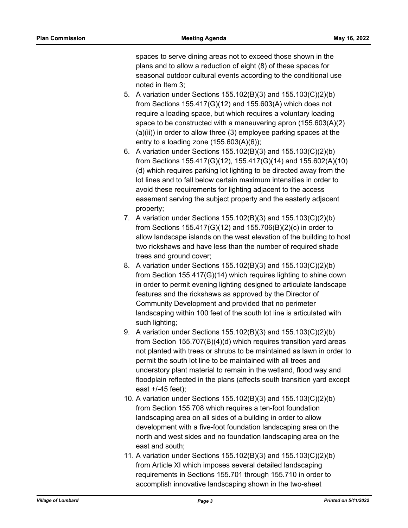spaces to serve dining areas not to exceed those shown in the plans and to allow a reduction of eight (8) of these spaces for seasonal outdoor cultural events according to the conditional use noted in Item 3;

- 5. A variation under Sections 155.102(B)(3) and 155.103(C)(2)(b) from Sections 155.417(G)(12) and 155.603(A) which does not require a loading space, but which requires a voluntary loading space to be constructed with a maneuvering apron (155.603(A)(2) (a)(ii)) in order to allow three (3) employee parking spaces at the entry to a loading zone  $(155.603(A)(6))$ ;
- 6. A variation under Sections 155.102(B)(3) and 155.103(C)(2)(b) from Sections 155.417(G)(12), 155.417(G)(14) and 155.602(A)(10) (d) which requires parking lot lighting to be directed away from the lot lines and to fall below certain maximum intensities in order to avoid these requirements for lighting adjacent to the access easement serving the subject property and the easterly adjacent property;
- 7. A variation under Sections 155.102(B)(3) and 155.103(C)(2)(b) from Sections 155.417(G)(12) and 155.706(B)(2)(c) in order to allow landscape islands on the west elevation of the building to host two rickshaws and have less than the number of required shade trees and ground cover;
- 8. A variation under Sections 155.102(B)(3) and 155.103(C)(2)(b) from Section 155.417(G)(14) which requires lighting to shine down in order to permit evening lighting designed to articulate landscape features and the rickshaws as approved by the Director of Community Development and provided that no perimeter landscaping within 100 feet of the south lot line is articulated with such lighting;
- 9. A variation under Sections 155.102(B)(3) and 155.103(C)(2)(b) from Section 155.707(B)(4)(d) which requires transition yard areas not planted with trees or shrubs to be maintained as lawn in order to permit the south lot line to be maintained with all trees and understory plant material to remain in the wetland, flood way and floodplain reflected in the plans (affects south transition yard except east +/-45 feet);
- 10. A variation under Sections 155.102(B)(3) and 155.103(C)(2)(b) from Section 155.708 which requires a ten-foot foundation landscaping area on all sides of a building in order to allow development with a five-foot foundation landscaping area on the north and west sides and no foundation landscaping area on the east and south;
- 11. A variation under Sections 155.102(B)(3) and 155.103(C)(2)(b) from Article XI which imposes several detailed landscaping requirements in Sections 155.701 through 155.710 in order to accomplish innovative landscaping shown in the two-sheet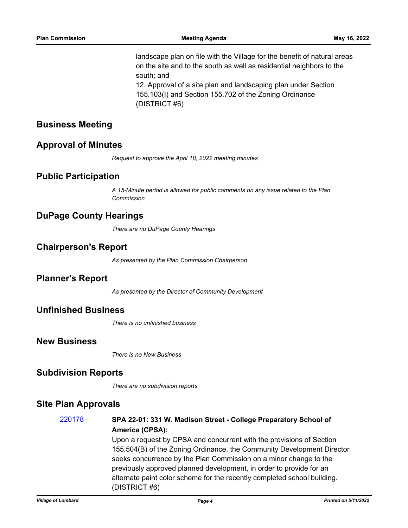landscape plan on file with the Village for the benefit of natural areas on the site and to the south as well as residential neighbors to the south; and 12. Approval of a site plan and landscaping plan under Section 155.103(I) and Section 155.702 of the Zoning Ordinance

(DISTRICT #6)

### **Business Meeting**

#### **Approval of Minutes**

*Request to approve the April 18, 2022 meeting minutes*

#### **Public Participation**

*A 15-Minute period is allowed for public comments on any issue related to the Plan Commission*

## **DuPage County Hearings**

*There are no DuPage County Hearings*

### **Chairperson's Report**

*As presented by the Plan Commission Chairperson*

#### **Planner's Report**

*As presented by the Director of Community Development*

#### **Unfinished Business**

*There is no unfinished business*

### **New Business**

*There is no New Business*

#### **Subdivision Reports**

*There are no subdivision reports*

### **Site Plan Approvals**

## [220178](http://lombard.legistar.com/gateway.aspx?m=l&id=/matter.aspx?key=18480) **SPA 22-01: 331 W. Madison Street - College Preparatory School of America (CPSA):**

Upon a request by CPSA and concurrent with the provisions of Section 155.504(B) of the Zoning Ordinance, the Community Development Director seeks concurrence by the Plan Commission on a minor change to the previously approved planned development, in order to provide for an alternate paint color scheme for the recently completed school building. (DISTRICT #6)